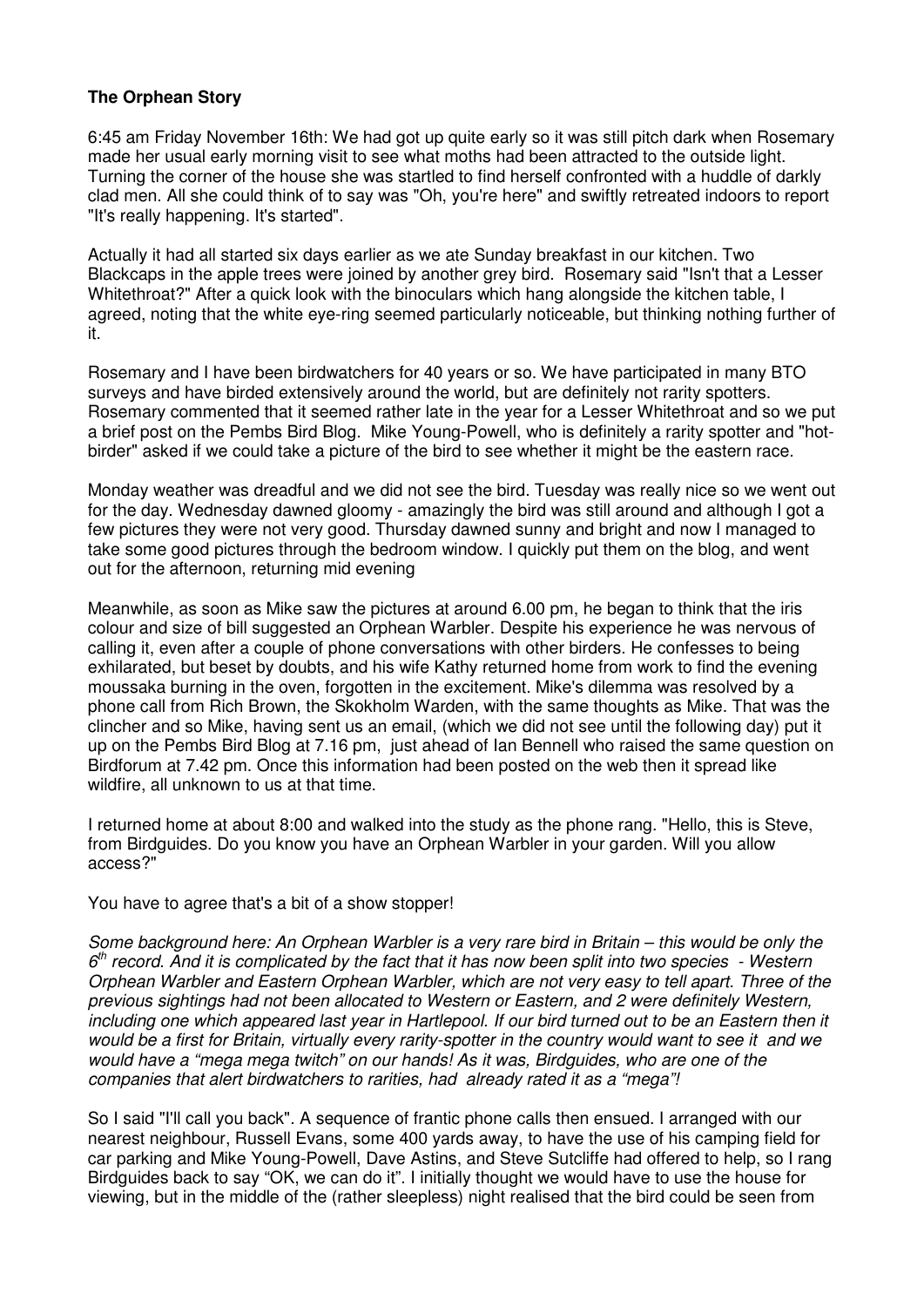## **The Orphean Story**

6:45 am Friday November 16th: We had got up quite early so it was still pitch dark when Rosemary made her usual early morning visit to see what moths had been attracted to the outside light. Turning the corner of the house she was startled to find herself confronted with a huddle of darkly clad men. All she could think of to say was "Oh, you're here" and swiftly retreated indoors to report "It's really happening. It's started".

Actually it had all started six days earlier as we ate Sunday breakfast in our kitchen. Two Blackcaps in the apple trees were joined by another grey bird. Rosemary said "Isn't that a Lesser Whitethroat?" After a quick look with the binoculars which hang alongside the kitchen table, I agreed, noting that the white eye-ring seemed particularly noticeable, but thinking nothing further of it.

Rosemary and I have been birdwatchers for 40 years or so. We have participated in many BTO surveys and have birded extensively around the world, but are definitely not rarity spotters. Rosemary commented that it seemed rather late in the year for a Lesser Whitethroat and so we put a brief post on the Pembs Bird Blog. Mike Young-Powell, who is definitely a rarity spotter and "hotbirder" asked if we could take a picture of the bird to see whether it might be the eastern race.

Monday weather was dreadful and we did not see the bird. Tuesday was really nice so we went out for the day. Wednesday dawned gloomy - amazingly the bird was still around and although I got a few pictures they were not very good. Thursday dawned sunny and bright and now I managed to take some good pictures through the bedroom window. I quickly put them on the blog, and went out for the afternoon, returning mid evening

Meanwhile, as soon as Mike saw the pictures at around 6.00 pm, he began to think that the iris colour and size of bill suggested an Orphean Warbler. Despite his experience he was nervous of calling it, even after a couple of phone conversations with other birders. He confesses to being exhilarated, but beset by doubts, and his wife Kathy returned home from work to find the evening moussaka burning in the oven, forgotten in the excitement. Mike's dilemma was resolved by a phone call from Rich Brown, the Skokholm Warden, with the same thoughts as Mike. That was the clincher and so Mike, having sent us an email, (which we did not see until the following day) put it up on the Pembs Bird Blog at 7.16 pm, just ahead of Ian Bennell who raised the same question on Birdforum at 7.42 pm. Once this information had been posted on the web then it spread like wildfire, all unknown to us at that time.

I returned home at about 8:00 and walked into the study as the phone rang. "Hello, this is Steve, from Birdguides. Do you know you have an Orphean Warbler in your garden. Will you allow access?"

You have to agree that's a bit of a show stopper!

Some background here: An Orphean Warbler is a very rare bird in Britain – this would be only the  $6<sup>th</sup>$  record. And it is complicated by the fact that it has now been split into two species - Western Orphean Warbler and Eastern Orphean Warbler, which are not very easy to tell apart. Three of the previous sightings had not been allocated to Western or Eastern, and 2 were definitely Western, including one which appeared last year in Hartlepool. If our bird turned out to be an Eastern then it would be a first for Britain, virtually every rarity-spotter in the country would want to see it and we would have a "mega mega twitch" on our hands! As it was, Birdguides, who are one of the companies that alert birdwatchers to rarities, had already rated it as a "mega"!

So I said "I'll call you back". A sequence of frantic phone calls then ensued. I arranged with our nearest neighbour, Russell Evans, some 400 yards away, to have the use of his camping field for car parking and Mike Young-Powell, Dave Astins, and Steve Sutcliffe had offered to help, so I rang Birdguides back to say "OK, we can do it". I initially thought we would have to use the house for viewing, but in the middle of the (rather sleepless) night realised that the bird could be seen from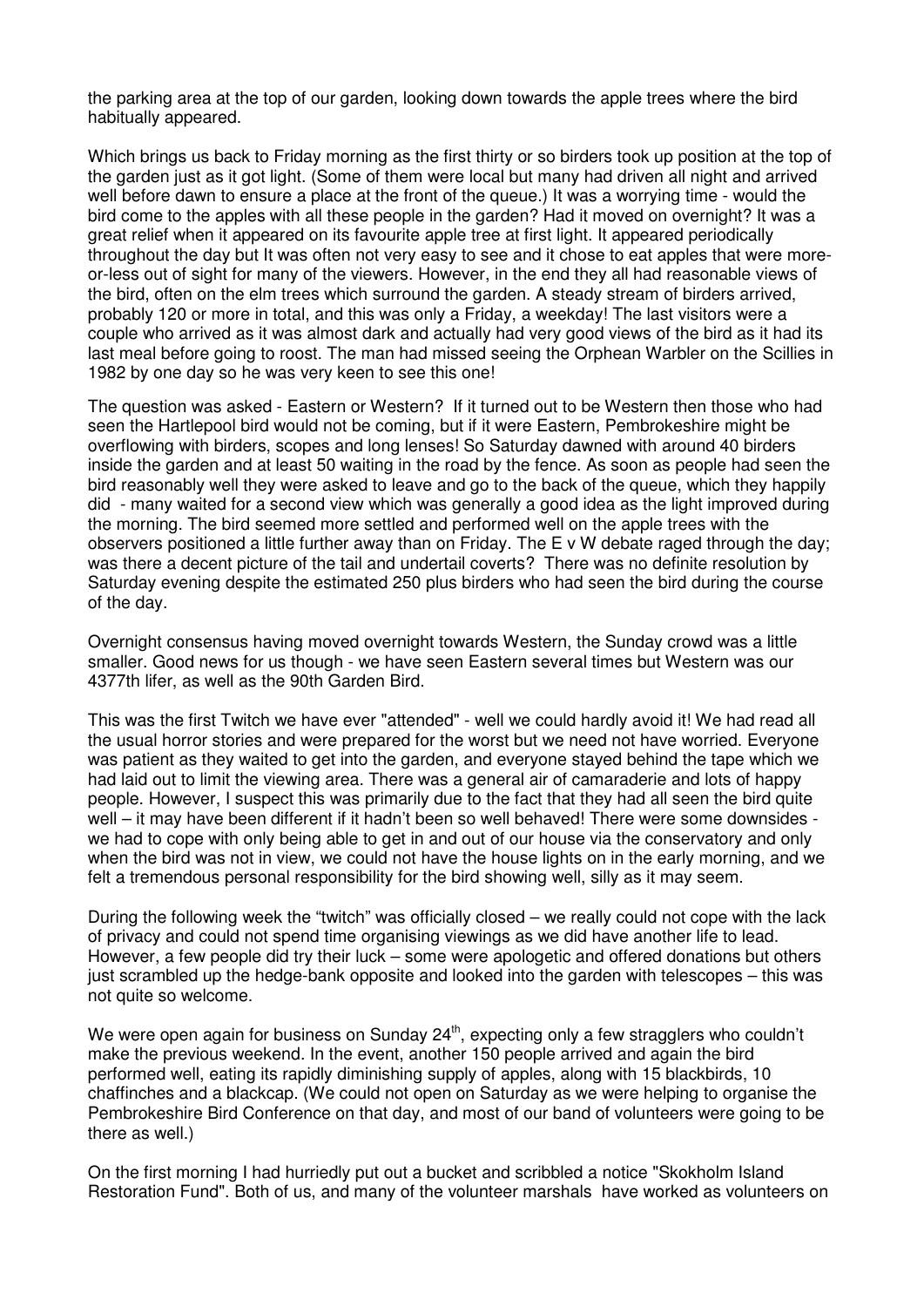the parking area at the top of our garden, looking down towards the apple trees where the bird habitually appeared.

Which brings us back to Friday morning as the first thirty or so birders took up position at the top of the garden just as it got light. (Some of them were local but many had driven all night and arrived well before dawn to ensure a place at the front of the queue.) It was a worrying time - would the bird come to the apples with all these people in the garden? Had it moved on overnight? It was a great relief when it appeared on its favourite apple tree at first light. It appeared periodically throughout the day but It was often not very easy to see and it chose to eat apples that were moreor-less out of sight for many of the viewers. However, in the end they all had reasonable views of the bird, often on the elm trees which surround the garden. A steady stream of birders arrived, probably 120 or more in total, and this was only a Friday, a weekday! The last visitors were a couple who arrived as it was almost dark and actually had very good views of the bird as it had its last meal before going to roost. The man had missed seeing the Orphean Warbler on the Scillies in 1982 by one day so he was very keen to see this one!

The question was asked - Eastern or Western? If it turned out to be Western then those who had seen the Hartlepool bird would not be coming, but if it were Eastern, Pembrokeshire might be overflowing with birders, scopes and long lenses! So Saturday dawned with around 40 birders inside the garden and at least 50 waiting in the road by the fence. As soon as people had seen the bird reasonably well they were asked to leave and go to the back of the queue, which they happily did - many waited for a second view which was generally a good idea as the light improved during the morning. The bird seemed more settled and performed well on the apple trees with the observers positioned a little further away than on Friday. The E v W debate raged through the day; was there a decent picture of the tail and undertail coverts? There was no definite resolution by Saturday evening despite the estimated 250 plus birders who had seen the bird during the course of the day.

Overnight consensus having moved overnight towards Western, the Sunday crowd was a little smaller. Good news for us though - we have seen Eastern several times but Western was our 4377th lifer, as well as the 90th Garden Bird.

This was the first Twitch we have ever "attended" - well we could hardly avoid it! We had read all the usual horror stories and were prepared for the worst but we need not have worried. Everyone was patient as they waited to get into the garden, and everyone stayed behind the tape which we had laid out to limit the viewing area. There was a general air of camaraderie and lots of happy people. However, I suspect this was primarily due to the fact that they had all seen the bird quite well – it may have been different if it hadn't been so well behaved! There were some downsides we had to cope with only being able to get in and out of our house via the conservatory and only when the bird was not in view, we could not have the house lights on in the early morning, and we felt a tremendous personal responsibility for the bird showing well, silly as it may seem.

During the following week the "twitch" was officially closed – we really could not cope with the lack of privacy and could not spend time organising viewings as we did have another life to lead. However, a few people did try their luck – some were apologetic and offered donations but others just scrambled up the hedge-bank opposite and looked into the garden with telescopes – this was not quite so welcome.

We were open again for business on Sunday 24<sup>th</sup>, expecting only a few stragglers who couldn't make the previous weekend. In the event, another 150 people arrived and again the bird performed well, eating its rapidly diminishing supply of apples, along with 15 blackbirds, 10 chaffinches and a blackcap. (We could not open on Saturday as we were helping to organise the Pembrokeshire Bird Conference on that day, and most of our band of volunteers were going to be there as well.)

On the first morning I had hurriedly put out a bucket and scribbled a notice "Skokholm Island Restoration Fund". Both of us, and many of the volunteer marshals have worked as volunteers on